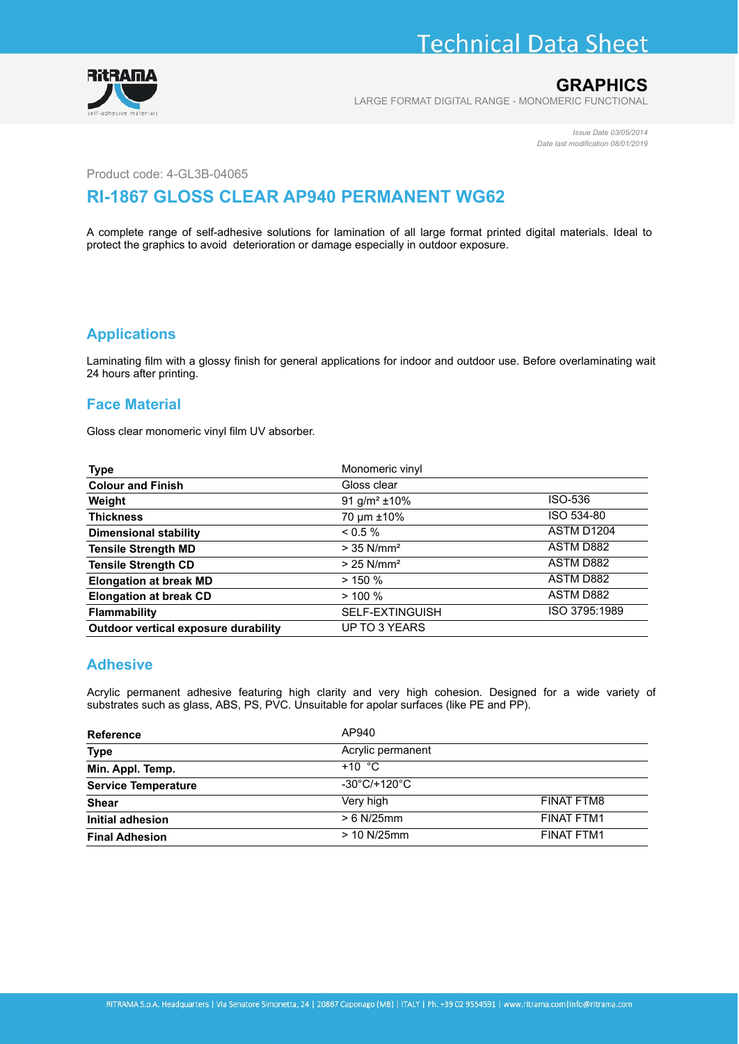# **Technical Data Sheet**



### **GRAPHICS**

LARGE FORMAT DIGITAL RANGE - MONOMERIC FUNCTIONAL

*Issue Date 03/05/2014 Date last modification 08/01/2019*

Product code: 4-GL3B-04065

## **RI-1867 GLOSS CLEAR AP940 PERMANENT WG62**

A complete range of self-adhesive solutions for lamination of all large format printed digital materials. Ideal to protect the graphics to avoid deterioration or damage especially in outdoor exposure.

#### **Applications**

Laminating film with a glossy finish for general applications for indoor and outdoor use. Before overlaminating wait 24 hours after printing.

#### **Face Material**

Gloss clear monomeric vinyl film UV absorber.

| <b>Type</b>                          | Monomeric vinyl               |                  |
|--------------------------------------|-------------------------------|------------------|
| <b>Colour and Finish</b>             | Gloss clear                   |                  |
| Weight                               | 91 g/m <sup>2</sup> $\pm$ 10% | ISO-536          |
| <b>Thickness</b>                     | 70 µm ±10%                    | ISO 534-80       |
| Dimensional stability                | $< 0.5 \%$                    | ASTM D1204       |
| <b>Tensile Strength MD</b>           | $>$ 35 N/mm <sup>2</sup>      | ASTM D882        |
| <b>Tensile Strength CD</b>           | $> 25$ N/mm <sup>2</sup>      | ASTM D882        |
| <b>Elongation at break MD</b>        | $>$ 150 %                     | <b>ASTM D882</b> |
| <b>Elongation at break CD</b>        | $> 100 \%$                    | <b>ASTM D882</b> |
| <b>Flammability</b>                  | <b>SELF-EXTINGUISH</b>        | ISO 3795:1989    |
| Outdoor vertical exposure durability | <b>UP TO 3 YEARS</b>          |                  |

#### **Adhesive**

Acrylic permanent adhesive featuring high clarity and very high cohesion. Designed for a wide variety of substrates such as glass, ABS, PS, PVC. Unsuitable for apolar surfaces (like PE and PP).

| <b>Reference</b>           | AP940                             |                   |
|----------------------------|-----------------------------------|-------------------|
| <b>Type</b>                | Acrylic permanent                 |                   |
| Min. Appl. Temp.           | $+10$ °C                          |                   |
| <b>Service Temperature</b> | $-30^{\circ}$ C/+120 $^{\circ}$ C |                   |
| <b>Shear</b>               | Very high                         | <b>FINAT FTM8</b> |
| Initial adhesion           | $> 6$ N/25mm                      | <b>FINAT FTM1</b> |
| <b>Final Adhesion</b>      | > 10 N/25 mm                      | <b>FINAT FTM1</b> |